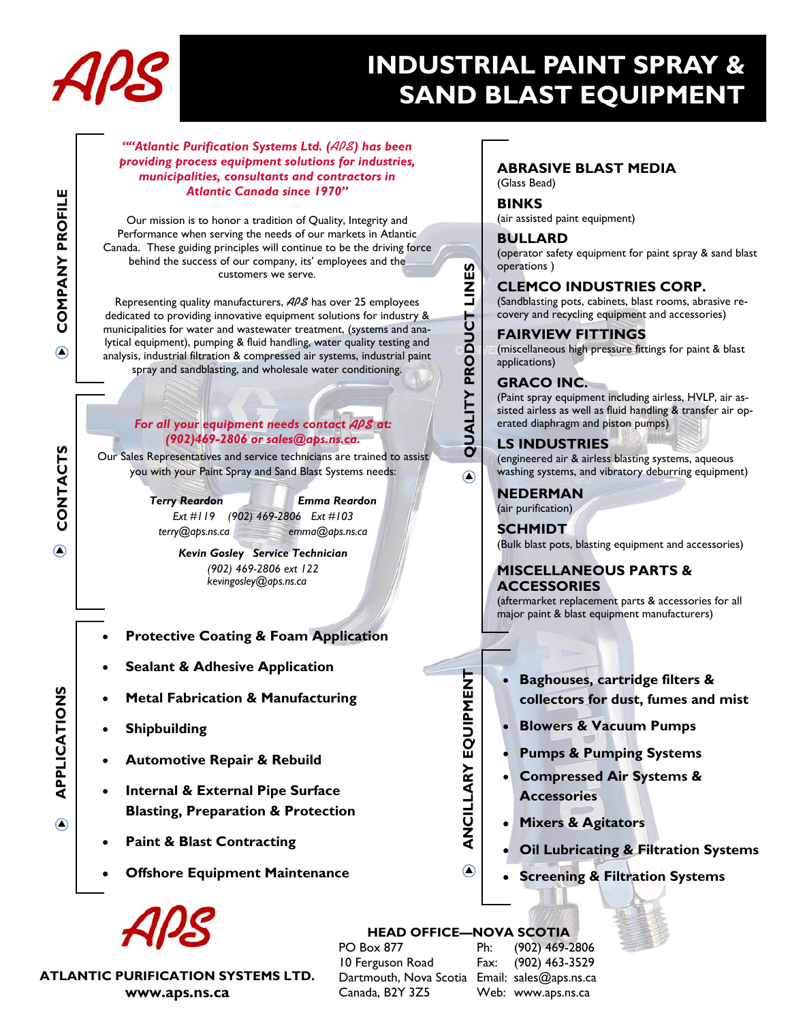

**APPLICATIONS COMPANY PROFILE** 

CONTACTS

∩

APPLICATIONS

∩

**CONTACTS** 

**COMPANY PROFILE** 

 $\bigcirc$ 

# **INDUSTRIAL PAINT SPRAY & SAND BLAST EQUIPMENT**

#### *""Atlantic Purification Systems Ltd. (***APS***) has been providing process equipment solutions for industries, municipalities, consultants and contractors in Atlantic Canada since 1970"*

Our mission is to honor a tradition of Quality, Integrity and Performance when serving the needs of our markets in Atlantic Canada. These guiding principles will continue to be the driving force behind the success of our company, its' employees and the customers we serve.

Representing quality manufacturers, **APS** has over 25 employees dedicated to providing innovative equipment solutions for industry & municipalities for water and wastewater treatment, (systems and analytical equipment), pumping & fluid handling, water quality testing and analysis, industrial filtration & compressed air systems, industrial paint spray and sandblasting, and wholesale water conditioning.

#### *For all your equipment needs contact* **APS** *at: (902)469-2806 or sales@aps.ns.ca.*

Our Sales Representatives and service technicians are trained to assist you with your Paint Spray and Sand Blast Systems needs:

> *Terry Reardon Emma Reardon Ext #119 (902) 469-2806 Ext #103 terry@aps.ns.ca emma@aps.ns.ca*

> > *Kevin Gosley Service Technician (902) 469-2806 ext 122 kevingosley@aps.ns.ca*

- **Protective Coating & Foam Application**
- **Sealant & Adhesive Application**
- **Metal Fabrication & Manufacturing**
- **Shipbuilding**
- **Automotive Repair & Rebuild**
- **Internal & External Pipe Surface Blasting, Preparation & Protection**
- **Paint & Blast Contracting**
- **Offshore Equipment Maintenance**

**ATLANTIC PURIFICATION SYSTEMS LTD. www.aps.ns.ca** 

## **ABRASIVE BLAST MEDIA**

(Glass Bead)

### **BINKS**

(air assisted paint equipment)

#### **BULLARD**

(operator safety equipment for paint spray & sand blast operations )

#### **CLEMCO INDUSTRIES CORP.**

(Sandblasting pots, cabinets, blast rooms, abrasive recovery and recycling equipment and accessories)

#### **FAIRVIEW FITTINGS**

(miscellaneous high pressure fittings for paint & blast applications)

#### **GRACO INC.**

**QUALITY PRODUCT LINES** 

QUALITY PRODUCT LINES

 $\odot$ 

(Paint spray equipment including airless, HVLP, air assisted airless as well as fluid handling & transfer air operated diaphragm and piston pumps)

#### **LS INDUSTRIES**

(engineered air & airless blasting systems, aqueous washing systems, and vibratory deburring equipment)

**NEDERMAN**  (air purification)

**SCHMIDT** 

(Bulk blast pots, blasting equipment and accessories)

### **MISCELLANEOUS PARTS & ACCESSORIES**

(aftermarket replacement parts & accessories for all major paint & blast equipment manufacturers)

- **Baghouses, cartridge filters & collectors for dust, fumes and mist**
- **Blowers & Vacuum Pumps**
- **Pumps & Pumping Systems**
- **Compressed Air Systems & Accessories**
- **Mixers & Agitators**
- **Oil Lubricating & Filtration Systems**
- **Screening & Filtration Systems**

 $\odot$ 

**ANCILLARY EQUIPMENT** 

ANCILLARY EQUIPMENT

 **HEAD OFFICE—NOVA SCOTIA**  PO Box 877 10 Ferguson Road Dartmouth, Nova Scotia Email: sales@aps.ns.ca Canada, B2Y 3Z5

Ph: (902) 469-2806 Fax: (902) 463-3529 Web: www.aps.ns.ca